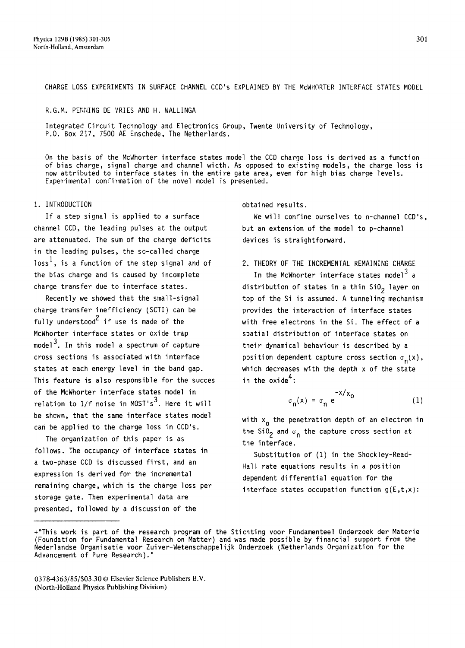CHARGE LOSS EXPERIMENTS IN SURFACE CHANNEL CCD's EXPLAINED BY THE McWHORTER INTERFACE STATES MODEL

#### R.G.M. PENNING DE VRIES AND H. WALLINGA

Integrated Circuit Technology and Electronics Group, Twente University of Technology, P.O. Box 217, 7500 AE Enschede, The Netherlands.

On the basis of the McWhorter interface states model the CCD charge loss is derived as a function of bias charge, signal charge and channel width. As opposed to existing models, the charge loss is now attributed to interface states in the entire gate area, even for high bias charge levels. Experimental confirmation of the novel model is presented.

## 1. INTRODUCTION

If a step signal is applied to a surface channel CCD, the leading pulses at the output are attenuated. The sum of the charge deficits in the leading pulses, the so-called charge loss<sup>1</sup>, is a function of the step signal and of the bias charge and is caused by incomplete charge transfer due to interface states.

Recently we showed that the small-signal charge transfer inefficiency (SCTI) can be fully understood<sup>2</sup> if use is made of the McWhorter interface states or oxide trap model<sup>3</sup>. In this model a spectrum of capture cross sections is associated with interface states at each energy level in the band gap. This feature is also responsible for the succes of the McWhorter interface states model in relation to  $1/f$  noise in MOST's $^3$ . Here it will be shown, that the same interface states model can be applied to the charge loss in CCD's.

The organization of this paper is as follows. The occupancy of interface states in a two-phase CCD is discussed first, and an expression is derived for the incremental remaining charge, which is the charge loss per storage gate. Then experimental data are presented, followed by a discussion of the

#### obtained results.

We will confine ourselves to n-channel CCD's, but an extension of the model to p-channel devices is straightforward.

## 2. THEORY OF THE INCREMENTAL REMAINING CHARGE

In the McWhorter interface states model $^3$  a distribution of states in a thin  $SiO<sub>2</sub>$  layer on top of the Si is assumed. A tunneling mechanism provides the interaction of interface states with free electrons in the Si. The effect of a spatial distribution of interface states on their dynamical behaviour is described by a position dependent capture cross section  $\sigma_n(x)$ , which decreases with the depth x of the state in the oxide<sup>4</sup>:

$$
\sigma_n(x) = \sigma_n e^{-x/x_0}
$$
 (1)

with x<sub>o</sub> the penetration depth of an electron in the SiO<sub>2</sub> and  $\sigma_n$  the capture cross section at the interface.

Substitution of (1) in the Shockley-Read-Hall rate equations results in a position dependent differential equation for the interface states occupation function  $g(E,t,x)$ :

<sup>+&</sup>quot;This work is part of the research program of the Stichting voor Fundamenteel Onderzoek der Materie (Foundation for Fundamental Research on Matter) and was made possible by financial support from the Nederlandse Organisatie voor Zuiver-Wetenschappelijk Onderzoek (Netherlands Organization for the Advancement of Pure Research)."

<sup>0378-4363/85/\$03.30 ©</sup> Elsevier Science Publishers B.V. (North-Holland Physics Publishing Division)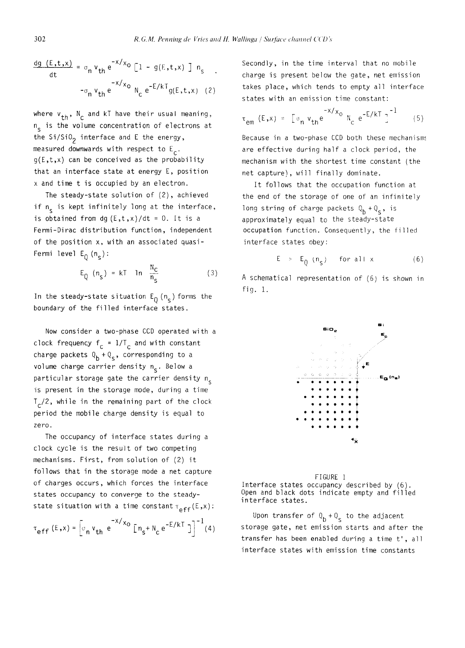$$
\frac{dg (E,t,x)}{dt} = \sigma_n v_{th} e^{-x/x_0} [1 - g(E,t,x)] n_s
$$
  
- $\sigma_n v_{th} e^{-x/x_0} N_c e^{-E/kT} g(E,t,x)$  (2)

where  $v_{th}$ , N<sub>c</sub> and kT have their usual meaning, n<sub>s</sub> is the volume concentration of electrons at the  $Si/SiO<sub>2</sub>$  interface and E the energy, measured downwards with respect to  $E_c$ .  $g(E,t,x)$  can be conceived as the probability that an interface state at energy E, position x and time t is occupied by an electron.

The steady-state solution of (2), achieved if n<sub>c</sub> is kept infinitely long at the interface, is obtained from dg  $(E,t,x)/dt = 0$ . It is a Fermi-Dirac distribution function, independent of the position x, with an associated quasi-Fermi level  $E_0(n_s):$ 

$$
E_Q (n_S) = kT \quad \ln \frac{N_C}{n_S} \tag{3}
$$

In the steady-state situation  $E_{\theta}$  (n<sub>s</sub>) forms the boundary of the filled interface states.

Now consider a two-phase CCD operated with a clock frequency  $f_c = 1/T_c$  and with constant charge packets  $Q_b + Q_s$ , corresponding to a volume charge carrier density  $n_{s}$ . Below a particular storage gate the carrier density  $n_c$ is present in the storage mode, during a time  $T_c/2$ , while in the remaining part of the clock period the mobile charge density is equal to zero.

The occupancy of interface states during a clock cycle is the result of two competing mechanisms. First, from solution of (2) it follows that in the storage mode a net capture of charges occurs, which forces the interface states occupancy to converge to the steadystate situation with a time constant  $\tau_{eff}(E,x)$ :

$$
\tau_{eff} (E, x) = \left[ \sigma_n v_{th} e^{-x/x_0} \left[ n_s + N_c e^{-E/kT} \right] \right]^{-1} (4)
$$

Secondly, in the time interval that no mobile charge is present below the gate, net emission takes place, which tends to empty all interface states with an emission time constant:

$$
\tau_{em} (E, x) = \left[ \sigma_n v_{th} e^{-X/x_0} N_c e^{-E/kT} \right]^{-1}
$$
 (5)

Because in a two-phase CCD both these mechanisms are effective during half a clock period, the mechanism with the shortest time constant (the net capture), will finally dominate.

It follows that the occupation function at the end of the storage of one of an infinitely long string of charge packets  $Q_b + Q_s$ , is approximately equal to the steady-state occupation function. Consequently, the filled interface states obey:

$$
E \quad > \quad E_{0} \quad (n_{s}) \qquad \text{for all } x \tag{6}
$$

A schematical representation of (6) is shown in fig. i.





Upon transfer of  $Q_b + Q_s$  to the adjacent storage gate, net emission starts and after the transfer has been enabled during a time t', all interface states with emission time constants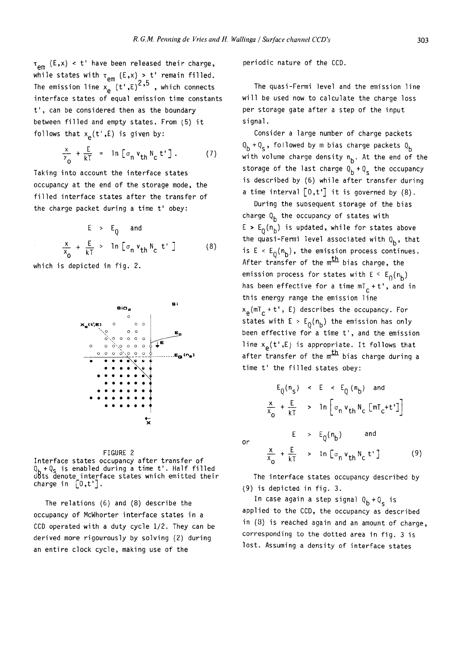$\tau_{\text{em}}$  (E,x) < t' have been released their charge, while states with  $\tau_{\alpha m}$  (E,x) > t' remain filled. The emission line  $x_{\alpha}$  (t',E)<sup>2</sup>'<sup>5</sup>, which connects interface states of equal emission time constants t', can be considered then as the boundary between filled and empty states. From (5) it follows that  $x_{p}(t^{\prime},E)$  is given by:

$$
\frac{x}{x_0} + \frac{E}{kT} = \ln \left[ \sigma_n v_{th} N_c t' \right]. \tag{7}
$$

Taking into account the interface states occupancy at the end of the storage mode, the filled interface states after the transfer of the charge packet during a time t' obey:

$$
E > EQ and
$$
  

$$
\frac{x}{x_0} + \frac{E}{kT} > \ln \left[ \sigma_n v_{th} N_c t' \right]
$$
 (8)

which is depicted in fig. 2.





The relations (6) and (8) describe the occupancy of McWhorter interface states in a CCD operated with a duty cycle 1/2. They can be derived more rigourously by solving (2) during an entire clock cycle, making use of the

periodic nature of the CCD.

The quasi-Fermi level and the emission line will be used now to calculate the charge loss per storage gate after a step of the input signal.

Consider a large number of charge packets  $Q_h + Q_c$ , followed by m bias charge packets  $Q_h$ with volume charge density n<sub>b</sub>. At the end of the storage of the last charge  $Q_b + Q_c$  the occupancy is described by (6) while after transfer during a time interval  $\lceil 0,t' \rceil$  it is governed by (8).

During the subsequent storage of the bias charge  $Q_b$  the occupancy of states with  $E > E_0(n_b)$  is updated, while for states above the quasi-Fermi level associated with  $Q_b$ , that is  $E \le E_0(n_b)$ , the emission process continues. After transfer of the  ${nth}$  bias charge, the emission process for states with  $E \le E_0(n_b)$ has been effective for a time  $m<sub>c</sub> + t'$ , and in this energy range the emission line  $x_{\alpha}$ (mT<sub>c</sub> + t', E) describes the occupancy. For states with  $E > E_0(n_b)$  the emission has only been effective for a time t', and the emission line  $x_{\alpha}(t^*,E)$  is appropriate. It follows that after transfer of the  $m^{\text{th}}$  bias charge during a time t' the filled states obey:

$$
E_{Q}(n_{s}) \leq E \leq E_{Q}(n_{b}) \text{ and}
$$
\n
$$
\frac{x}{x_{0}} + \frac{E}{kT} \Rightarrow \ln \left[ \sigma_{n} v_{th} N_{c} \left[ mT_{c} + t^{*} \right] \right]
$$
\n
$$
E \Rightarrow E_{Q}(n_{b}) \text{ and}
$$
\n
$$
\frac{x}{x_{0}} + \frac{E}{kT} \Rightarrow \ln \left[ \sigma_{n} v_{th} N_{c} t^{*} \right] \tag{9}
$$

The interface states occupancy described by (9) is depicted in fig. 3.

or

In case again a step signal Q<sub>b</sub> +Q<sub>c</sub> is applied to the CCD, the occupancy as described in (8) is reached again and an amount of charge, corresponding to the dotted area in fig. 3 is lost. Assuming a density of interface states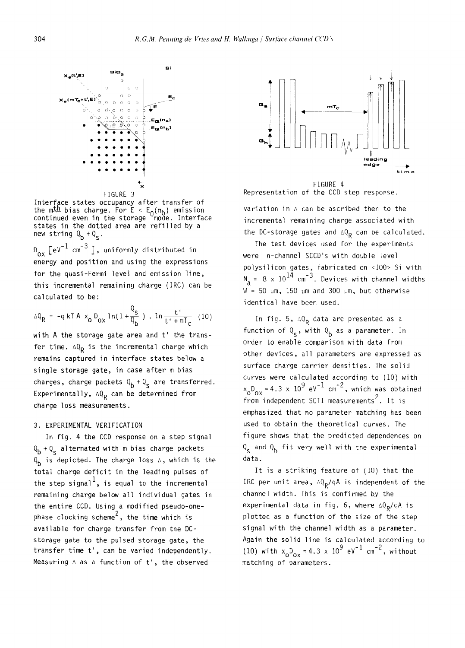

Interface states occupancy after transfer of the mth bias charge. For  $E < E_{\alpha}(n_b)$  emission continued even in the storage ~mode. Interface states in the dotted area are refilled by a new string  $Q_b + Q_c$ .

 $D_{ox}$   $\left[ eV^{-1} \text{ cm}^{-3} \right]$ , uniformly distributed in energy and position and using the expressions for the quasi-Fermi level and emission line, this incremental remaining charge (IRC) can be calculated to be:

$$
\Delta Q_R = -q kT A x_0 D_{0x} \ln(1 + \frac{Q_s}{Q_b}) \cdot \ln \frac{t}{t' + mT_c} (10)
$$

with A the storage gate area and t' the transfer time.  $\Delta Q_R$  is the incremental charge which remains captured in interface states below a single storage gate, in case after m bias charges, charge packets  $Q_b + Q_s$  are transferred. Experimentally,  $\Delta Q_{\text{p}}$  can be determined from charge loss measurements.

### 3. EXPERIMENTAL VERIFICATION

In fig. 4 the CCD response on a step signal  $Q_b + Q_s$  alternated with m bias charge packets  $Q_{\bf b}$  is depicted. The charge loss  $\Delta$ , which is the total charge deficit in the leading pulses of the step signal<sup>1</sup>, is equal to the incremental remaining charge below all individual gates in the entire CCD. Using a modified pseudo-onephase clocking scheme<sup>2</sup>, the time which is available for charge transfer from the DCstorage gate to the pulsed storage gate, the transfer time t', can be varied independently. Measuring  $\triangle$  as a function of t', the observed



FIGURE 4 Representation of the CCD step response.

variation in A can be ascribed then to the incremental remaining charge associated with the DC-storage gates and  $\triangle \mathbb{Q}_R$  can be calculated.

The test devices used for the experiments were n-channel SCCD's with double level polysilicon gates, fabricated on <100> Si with  $N_a = 8 \times 10^{14}$  cm<sup>-3</sup>. Devices with channel widths  $W = 50 \mu m$ , 150  $\mu$ m and 300  $\mu$ m, but otherwise identical have been used.

In fig. 5,  $\Delta Q_R$  data are presented as a function of  $Q_s$ , with  $Q_b$  as a parameter. In order to enable comparison with data from other devices, all parameters are expressed as surface charge carrier densities. The solid curves were calculated according to (10) with  $x_0D_{\infty}=4.3 \times 10^9$  eV  $^+$  cm  $^+$ , which was obtained  $f$ rom independent SCTI measurements<sup>2</sup>. It is emphasized that no parameter matching has been used to obtain the theoretical curves. The figure shows that the predicted dependences on  $Q_{s}$  and  $Q_{b}$  fit very well with the experimental data.

It is a striking feature of (10) that the IRC per unit area,  $\Delta Q_{\rm R}/qA$  is independent of the channel width, lhis is confirmed by the experimental data in fig. 6, where  $\Delta Q_{\rm p}/qA$  is plotted as a function of the size of the step signal with the channel width as a parameter. Again the solid line is calculated according to (10) with  $x_0D_{0x} = 4.3 \times 10^9 \text{ eV}^{-1} \text{ cm}^{-2}$ , without matching of parameters.